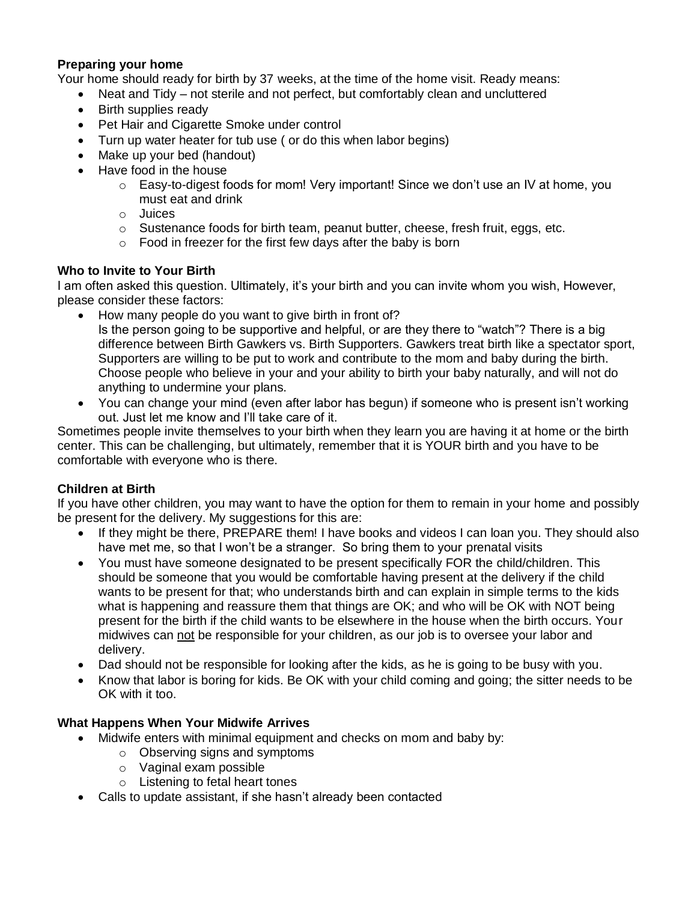### **Preparing your home**

Your home should ready for birth by 37 weeks, at the time of the home visit. Ready means:

- Neat and Tidy not sterile and not perfect, but comfortably clean and uncluttered
- Birth supplies ready
- Pet Hair and Cigarette Smoke under control
- Turn up water heater for tub use ( or do this when labor begins)
- Make up your bed (handout)
- Have food in the house
	- $\circ$  Easy-to-digest foods for mom! Very important! Since we don't use an IV at home, you must eat and drink
	- o Juices
	- $\circ$  Sustenance foods for birth team, peanut butter, cheese, fresh fruit, eggs, etc.
	- $\circ$  Food in freezer for the first few days after the baby is born

### **Who to Invite to Your Birth**

I am often asked this question. Ultimately, it's your birth and you can invite whom you wish, However, please consider these factors:

- How many people do you want to give birth in front of? Is the person going to be supportive and helpful, or are they there to "watch"? There is a big difference between Birth Gawkers vs. Birth Supporters. Gawkers treat birth like a spectator sport, Supporters are willing to be put to work and contribute to the mom and baby during the birth. Choose people who believe in your and your ability to birth your baby naturally, and will not do anything to undermine your plans.
- You can change your mind (even after labor has begun) if someone who is present isn't working out. Just let me know and I'll take care of it.

Sometimes people invite themselves to your birth when they learn you are having it at home or the birth center. This can be challenging, but ultimately, remember that it is YOUR birth and you have to be comfortable with everyone who is there.

### **Children at Birth**

If you have other children, you may want to have the option for them to remain in your home and possibly be present for the delivery. My suggestions for this are:

- If they might be there, PREPARE them! I have books and videos I can loan you. They should also have met me, so that I won't be a stranger. So bring them to your prenatal visits
- You must have someone designated to be present specifically FOR the child/children. This should be someone that you would be comfortable having present at the delivery if the child wants to be present for that; who understands birth and can explain in simple terms to the kids what is happening and reassure them that things are OK; and who will be OK with NOT being present for the birth if the child wants to be elsewhere in the house when the birth occurs. Your midwives can not be responsible for your children, as our job is to oversee your labor and delivery.
- Dad should not be responsible for looking after the kids, as he is going to be busy with you.
- Know that labor is boring for kids. Be OK with your child coming and going; the sitter needs to be OK with it too.

### **What Happens When Your Midwife Arrives**

- Midwife enters with minimal equipment and checks on mom and baby by:
	- o Observing signs and symptoms
	- o Vaginal exam possible
	- o Listening to fetal heart tones
- Calls to update assistant, if she hasn't already been contacted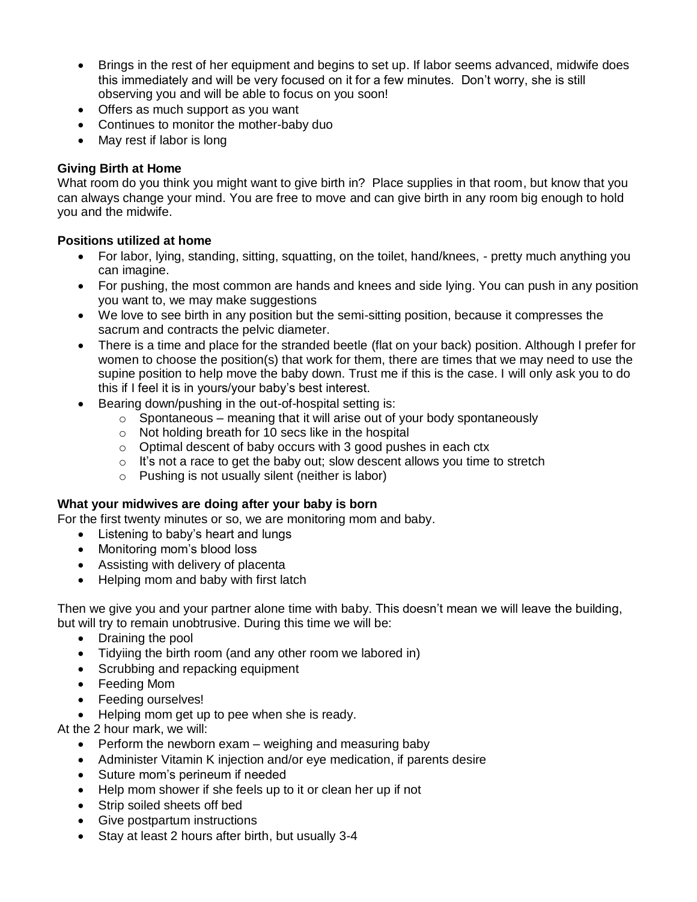- Brings in the rest of her equipment and begins to set up. If labor seems advanced, midwife does this immediately and will be very focused on it for a few minutes. Don't worry, she is still observing you and will be able to focus on you soon!
- Offers as much support as you want
- Continues to monitor the mother-baby duo
- May rest if labor is long

# **Giving Birth at Home**

What room do you think you might want to give birth in? Place supplies in that room, but know that you can always change your mind. You are free to move and can give birth in any room big enough to hold you and the midwife.

# **Positions utilized at home**

- For labor, lying, standing, sitting, squatting, on the toilet, hand/knees, pretty much anything you can imagine.
- For pushing, the most common are hands and knees and side lying. You can push in any position you want to, we may make suggestions
- We love to see birth in any position but the semi-sitting position, because it compresses the sacrum and contracts the pelvic diameter.
- There is a time and place for the stranded beetle (flat on your back) position. Although I prefer for women to choose the position(s) that work for them, there are times that we may need to use the supine position to help move the baby down. Trust me if this is the case. I will only ask you to do this if I feel it is in yours/your baby's best interest.
- Bearing down/pushing in the out-of-hospital setting is:
	- $\circ$  Spontaneous meaning that it will arise out of your body spontaneously
	- o Not holding breath for 10 secs like in the hospital
	- $\circ$  Optimal descent of baby occurs with 3 good pushes in each ctx
	- $\circ$  It's not a race to get the baby out; slow descent allows you time to stretch
	- o Pushing is not usually silent (neither is labor)

# **What your midwives are doing after your baby is born**

For the first twenty minutes or so, we are monitoring mom and baby.

- Listening to baby's heart and lungs
- Monitoring mom's blood loss
- Assisting with delivery of placenta
- Helping mom and baby with first latch

Then we give you and your partner alone time with baby. This doesn't mean we will leave the building, but will try to remain unobtrusive. During this time we will be:

- Draining the pool
- Tidyiing the birth room (and any other room we labored in)
- Scrubbing and repacking equipment
- Feeding Mom
- Feeding ourselves!

• Helping mom get up to pee when she is ready.

At the 2 hour mark, we will:

- $\bullet$  Perform the newborn exam weighing and measuring baby
- Administer Vitamin K injection and/or eye medication, if parents desire
- Suture mom's perineum if needed
- Help mom shower if she feels up to it or clean her up if not
- Strip soiled sheets off bed
- Give postpartum instructions
- Stay at least 2 hours after birth, but usually 3-4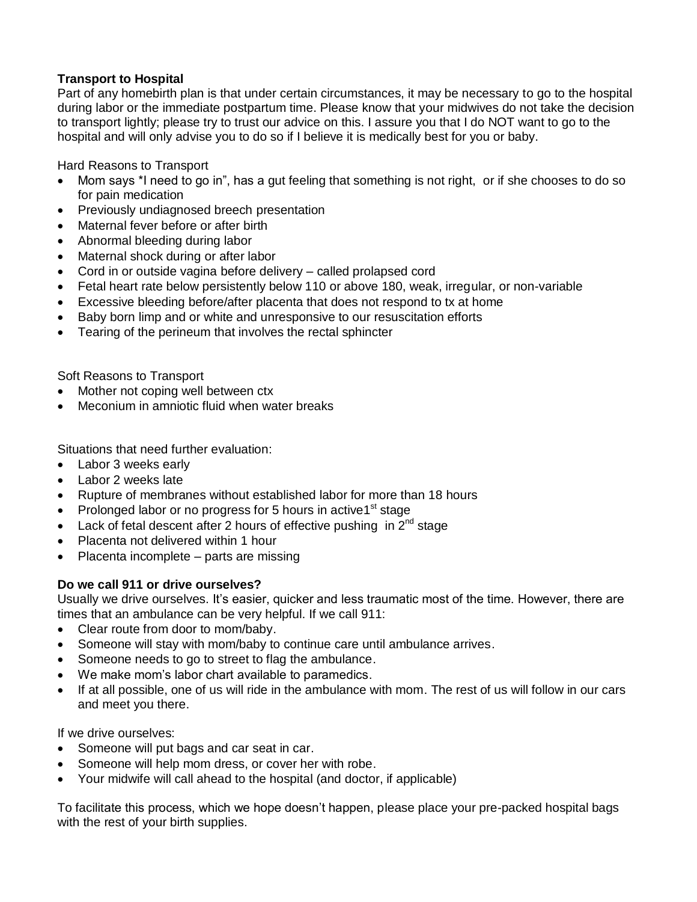# **Transport to Hospital**

Part of any homebirth plan is that under certain circumstances, it may be necessary to go to the hospital during labor or the immediate postpartum time. Please know that your midwives do not take the decision to transport lightly; please try to trust our advice on this. I assure you that I do NOT want to go to the hospital and will only advise you to do so if I believe it is medically best for you or baby.

Hard Reasons to Transport

- Mom says \*I need to go in", has a gut feeling that something is not right, or if she chooses to do so for pain medication
- Previously undiagnosed breech presentation
- Maternal fever before or after birth
- Abnormal bleeding during labor
- Maternal shock during or after labor
- Cord in or outside vagina before delivery called prolapsed cord
- Fetal heart rate below persistently below 110 or above 180, weak, irregular, or non-variable
- Excessive bleeding before/after placenta that does not respond to tx at home
- Baby born limp and or white and unresponsive to our resuscitation efforts
- Tearing of the perineum that involves the rectal sphincter

Soft Reasons to Transport

- Mother not coping well between ctx
- Meconium in amniotic fluid when water breaks

Situations that need further evaluation:

- Labor 3 weeks early
- Labor 2 weeks late
- Rupture of membranes without established labor for more than 18 hours
- Prolonged labor or no progress for 5 hours in active1<sup>st</sup> stage
- Lack of fetal descent after 2 hours of effective pushing in  $2^{nd}$  stage
- Placenta not delivered within 1 hour
- Placenta incomplete parts are missing

### **Do we call 911 or drive ourselves?**

Usually we drive ourselves. It's easier, quicker and less traumatic most of the time. However, there are times that an ambulance can be very helpful. If we call 911:

- Clear route from door to mom/baby.
- Someone will stay with mom/baby to continue care until ambulance arrives.
- Someone needs to go to street to flag the ambulance.
- We make mom's labor chart available to paramedics.
- If at all possible, one of us will ride in the ambulance with mom. The rest of us will follow in our cars and meet you there.

If we drive ourselves:

- Someone will put bags and car seat in car.
- Someone will help mom dress, or cover her with robe.
- Your midwife will call ahead to the hospital (and doctor, if applicable)

To facilitate this process, which we hope doesn't happen, please place your pre-packed hospital bags with the rest of your birth supplies.